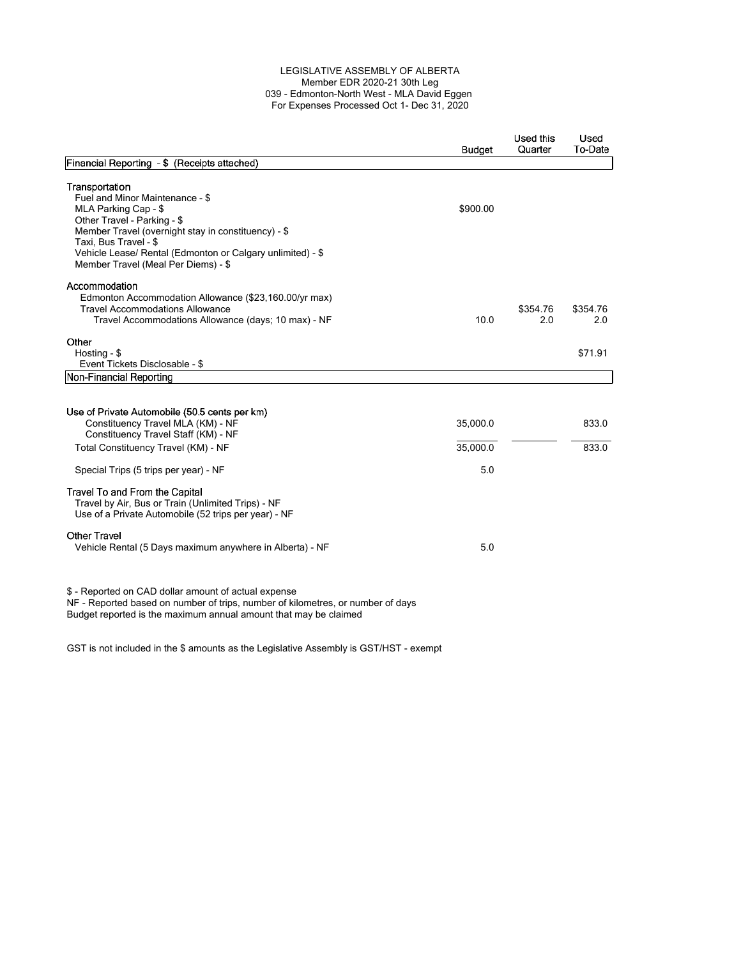## LEGISLATIVE ASSEMBLY OF ALBERTA Member EDR 2020-21 30th Leg 039 - Edmonton-North West - MLA David Eggen For Expenses Processed Oct 1- Dec 31, 2020

|                                                                                                                                                                                                                                                                                               | <b>Budget</b>        | Used this<br>Quarter | Used<br>To-Date |
|-----------------------------------------------------------------------------------------------------------------------------------------------------------------------------------------------------------------------------------------------------------------------------------------------|----------------------|----------------------|-----------------|
| Financial Reporting - \$ (Receipts attached)                                                                                                                                                                                                                                                  |                      |                      |                 |
| Transportation<br>Fuel and Minor Maintenance - \$<br>MLA Parking Cap - \$<br>Other Travel - Parking - \$<br>Member Travel (overnight stay in constituency) - \$<br>Taxi, Bus Travel - \$<br>Vehicle Lease/ Rental (Edmonton or Calgary unlimited) - \$<br>Member Travel (Meal Per Diems) - \$ | \$900.00             |                      |                 |
| Accommodation<br>Edmonton Accommodation Allowance (\$23,160.00/yr max)<br><b>Travel Accommodations Allowance</b><br>Travel Accommodations Allowance (days; 10 max) - NF                                                                                                                       | 10.0                 | \$354.76<br>2.0      | \$354.76<br>2.0 |
| Other<br>Hosting - \$<br>Event Tickets Disclosable - \$                                                                                                                                                                                                                                       |                      |                      | \$71.91         |
| Non-Financial Reporting                                                                                                                                                                                                                                                                       |                      |                      |                 |
| Use of Private Automobile (50.5 cents per km)<br>Constituency Travel MLA (KM) - NF<br>Constituency Travel Staff (KM) - NF<br>Total Constituency Travel (KM) - NF                                                                                                                              | 35,000.0<br>35,000.0 |                      | 833.0<br>833.0  |
| Special Trips (5 trips per year) - NF<br>Travel To and From the Capital<br>Travel by Air, Bus or Train (Unlimited Trips) - NF<br>Use of a Private Automobile (52 trips per year) - NF                                                                                                         | 5.0                  |                      |                 |
| <b>Other Travel</b><br>Vehicle Rental (5 Days maximum anywhere in Alberta) - NF                                                                                                                                                                                                               | 5.0                  |                      |                 |
| \$ - Reported on CAD dollar amount of actual expense<br>NF - Reported based on number of trips, number of kilometres, or number of days                                                                                                                                                       |                      |                      |                 |

GST is not included in the \$ amounts as the Legislative Assembly is GST/HST - exempt

Budget reported is the maximum annual amount that may be claimed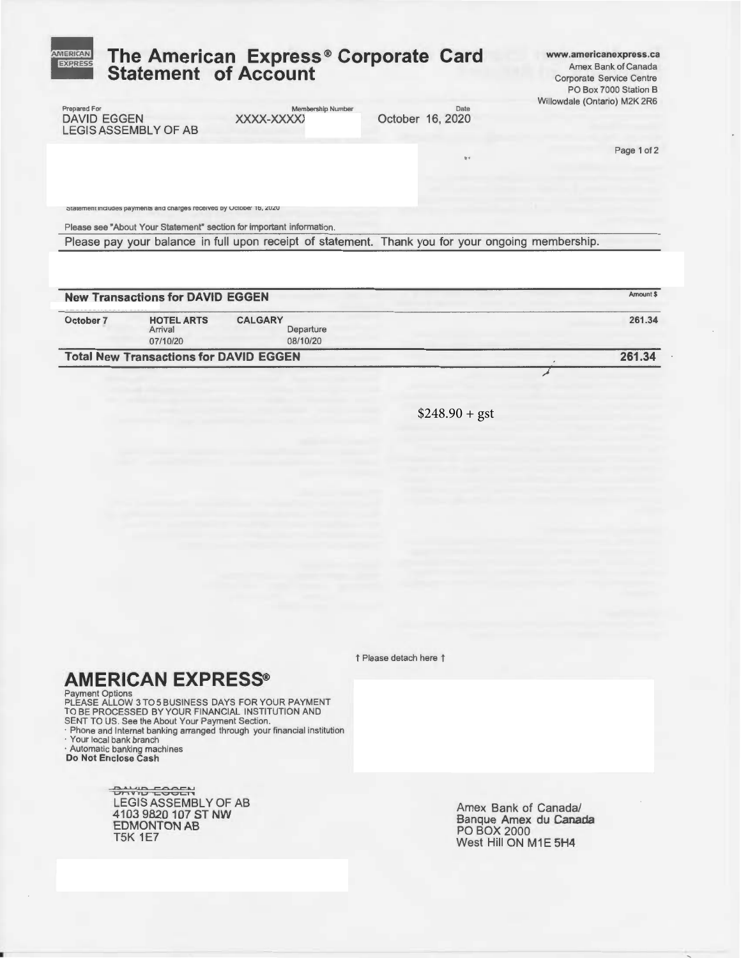| <b>AMERICAN</b><br><b>EXPRESS</b><br><b>Statement of Account</b>                                  | The American Express® Corporate Card |                  | www.americanexpress.ca<br>Amex Bank of Canada<br>Corporate Service Centre<br>PO Box 7000 Station B |
|---------------------------------------------------------------------------------------------------|--------------------------------------|------------------|----------------------------------------------------------------------------------------------------|
| Prepared For                                                                                      | Membership Number                    | Date             | Willowdale (Ontario) M2K 2R6                                                                       |
| <b>DAVID EGGEN</b><br><b>LEGIS ASSEMBLY OF AB</b>                                                 | XXXX-XXXXX                           | October 16, 2020 |                                                                                                    |
|                                                                                                   |                                      | $u +$            | Page 1 of 2                                                                                        |
|                                                                                                   |                                      |                  |                                                                                                    |
| Statement includes payments and charges received by October 16, 2020                              |                                      |                  |                                                                                                    |
| Please see "About Your Statement" section for important information.                              |                                      |                  |                                                                                                    |
| Please pay your balance in full upon receipt of statement. Thank you for your ongoing membership. |                                      |                  |                                                                                                    |

**New Transactions for DAVID EGGEN** 

| October 7 | <b>HOTEL ARTS</b><br>Arrival                              | <b>CALGARY</b><br>Departure | 261.34 |
|-----------|-----------------------------------------------------------|-----------------------------|--------|
|           | 07/10/20<br><b>Total New Transactions for DAVID EGGEN</b> | 08/10/20                    | 261.34 |

 $$248.90 + gst$ 

フ

Amount \$

1 Please detach here 1

**AMERICAN EXPRESS®** 

**PAYMELTAIN LATE INLOCES**<br>
Payment Options<br>
PLEASE ALLOW 3 TO 5 BUSINESS DAYS FOR YOUR PAYMENT<br>
TO BE PROCESSED BY YOUR FINANCIAL INSTITUTION AND<br>
SENT TO US. See the About Your Payment Section.<br>
Phone and Internet banking

CHWD EGGEN LEGIS ASSEMBLY OF AB<br>4103 9820 107 ST NW **EDMONTON AB T5K 1E7** 

Amex Bank of Canada/ Banque Amex du Canada<br>PO BOX 2000 West Hill ON M1E 5H4